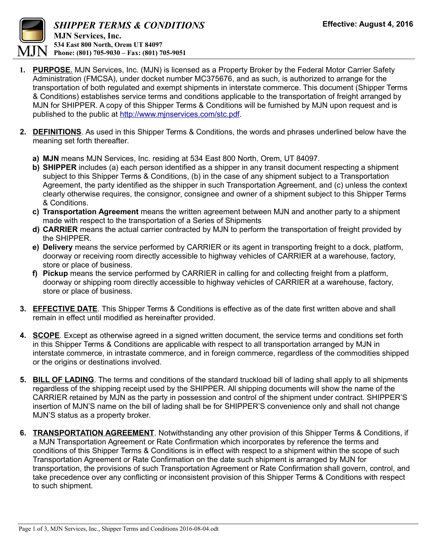

- **1. PURPOSE**. MJN Services, Inc. (MJN) is licensed as a Property Broker by the Federal Motor Carrier Safety Administration (FMCSA), under docket number MC375676, and as such, is authorized to arrange for the transportation of both regulated and exempt shipments in interstate commerce. This document (Shipper Terms & Conditions) establishes service terms and conditions applicable to the transportation of freight arranged by MJN for SHIPPER. A copy of this Shipper Terms & Conditions will be furnished by MJN upon request and is published to the public at [http://www.mjnservices.com/stc.pdf.](http://www.mjnservices.com/stc.pdf)
- **2. DEFINITIONS**. As used in this Shipper Terms & Conditions, the words and phrases underlined below have the meaning set forth thereafter.
	- **a) MJN** means MJN Services, Inc. residing at 534 East 800 North, Orem, UT 84097.
	- **b) SHIPPER** includes (a) each person identified as a shipper in any transit document respecting a shipment subject to this Shipper Terms & Conditions, (b) in the case of any shipment subject to a Transportation Agreement, the party identified as the shipper in such Transportation Agreement, and (c) unless the context clearly otherwise requires, the consignor, consignee and owner of a shipment subject to this Shipper Terms & Conditions.
	- **c) Transportation Agreement** means the written agreement between MJN and another party to a shipment made with respect to the transportation of a Series of Shipments
	- **d) CARRIER** means the actual carrier contracted by MJN to perform the transportation of freight provided by the SHIPPER.
	- **e) Delivery** means the service performed by CARRIER or its agent in transporting freight to a dock, platform, doorway or receiving room directly accessible to highway vehicles of CARRIER at a warehouse, factory, store or place of business.
	- **f) Pickup** means the service performed by CARRIER in calling for and collecting freight from a platform, doorway or shipping room directly accessible to highway vehicles of CARRIER at a warehouse, factory, store or place of business.
- **3. EFFECTIVE DATE**. This Shipper Terms & Conditions is effective as of the date first written above and shall remain in effect until modified as hereinafter provided.
- **4. SCOPE**. Except as otherwise agreed in a signed written document, the service terms and conditions set forth in this Shipper Terms & Conditions are applicable with respect to all transportation arranged by MJN in interstate commerce, in intrastate commerce, and in foreign commerce, regardless of the commodities shipped or the origins or destinations involved.
- **5. BILL OF LADING**. The terms and conditions of the standard truckload bill of lading shall apply to all shipments regardless of the shipping receipt used by the SHIPPER. All shipping documents will show the name of the CARRIER retained by MJN as the party in possession and control of the shipment under contract. SHIPPER'S insertion of MJN'S name on the bill of lading shall be for SHIPPER'S convenience only and shall not change MJN'S status as a property broker.
- **6. TRANSPORTATION AGREEMENT**. Notwithstanding any other provision of this Shipper Terms & Conditions, if a MJN Transportation Agreement or Rate Confirmation which incorporates by reference the terms and conditions of this Shipper Terms & Conditions is in effect with respect to a shipment within the scope of such Transportation Agreement or Rate Confirmation on the date such shipment is arranged by MJN for transportation, the provisions of such Transportation Agreement or Rate Confirmation shall govern, control, and take precedence over any conflicting or inconsistent provision of this Shipper Terms & Conditions with respect to such shipment.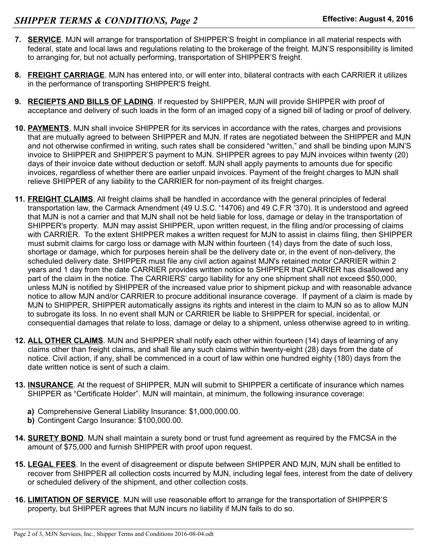- **7. SERVICE**. MJN will arrange for transportation of SHIPPER'S freight in compliance in all material respects with federal, state and local laws and regulations relating to the brokerage of the freight. MJN'S responsibility is limited to arranging for, but not actually performing, transportation of SHIPPER'S freight.
- **8. FREIGHT CARRIAGE**. MJN has entered into, or will enter into, bilateral contracts with each CARRIER it utilizes in the performance of transporting SHIPPER'S freight.
- **9. RECIEPTS AND BILLS OF LADING**. If requested by SHIPPER, MJN will provide SHIPPER with proof of acceptance and delivery of such loads in the form of an imaged copy of a signed bill of lading or proof of delivery.
- **10. PAYMENTS**. MJN shall invoice SHIPPER for its services in accordance with the rates, charges and provisions that are mutually agreed to between SHIPPER and MJN. If rates are negotiated between the SHIPPER and MJN and not otherwise confirmed in writing, such rates shall be considered "written," and shall be binding upon MJN'S invoice to SHIPPER and SHIPPER'S payment to MJN. SHIPPER agrees to pay MJN invoices within twenty (20) days of their invoice date without deduction or setoff. MJN shall apply payments to amounts due for specific invoices, regardless of whether there are earlier unpaid invoices. Payment of the freight charges to MJN shall relieve SHIPPER of any liability to the CARRIER for non-payment of its freight charges.
- **11. FREIGHT CLAIMS**. All freight claims shall be handled in accordance with the general principles of federal transportation law, the Carmack Amendment (49 U.S.C. '14706) and 49 C.F.R '370). It is understood and agreed that MJN is not a carrier and that MJN shall not be held liable for loss, damage or delay in the transportation of SHIPPER's property. MJN may assist SHIPPER, upon written request, in the filing and/or processing of claims with CARRIER. To the extent SHIPPER makes a written request for MJN to assist in claims filing, then SHIPPER must submit claims for cargo loss or damage with MJN within fourteen (14) days from the date of such loss, shortage or damage, which for purposes herein shall be the delivery date or, in the event of non-delivery, the scheduled delivery date. SHIPPER must file any civil action against MJN's retained motor CARRIER within 2 years and 1 day from the date CARRIER provides written notice to SHIPPER that CARRIER has disallowed any part of the claim in the notice. The CARRIERS' cargo liability for any one shipment shall not exceed \$50,000, unless MJN is notified by SHIPPER of the increased value prior to shipment pickup and with reasonable advance notice to allow MJN and/or CARRIER to procure additional insurance coverage. If payment of a claim is made by MJN to SHIPPER, SHIPPER automatically assigns its rights and interest in the claim to MJN so as to allow MJN to subrogate its loss. In no event shall MJN or CARRIER be liable to SHIPPER for special, incidental, or consequential damages that relate to loss, damage or delay to a shipment, unless otherwise agreed to in writing.
- **12. ALL OTHER CLAIMS**. MJN and SHIPPER shall notify each other within fourteen (14) days of learning of any claims other than freight claims, and shall file any such claims within twenty-eight (28) days from the date of notice. Civil action, if any, shall be commenced in a court of law within one hundred eighty (180) days from the date written notice is sent of such a claim.
- **13. INSURANCE**. At the request of SHIPPER, MJN will submit to SHIPPER a certificate of insurance which names SHIPPER as "Certificate Holder". MJN will maintain, at minimum, the following insurance coverage:
	- **a)** Comprehensive General Liability Insurance: \$1,000,000.00.
	- **b)** Contingent Cargo Insurance: \$100,000.00.
- **14. SURETY BOND**. MJN shall maintain a surety bond or trust fund agreement as required by the FMCSA in the amount of \$75,000 and furnish SHIPPER with proof upon request.
- **15. LEGAL FEES**. In the event of disagreement or dispute between SHIPPER AND MJN, MJN shall be entitled to recover from SHIPPER all collection costs incurred by MJN, including legal fees, interest from the date of delivery or scheduled delivery of the shipment, and other collection costs.
- **16. LIMITATION OF SERVICE**. MJN will use reasonable effort to arrange for the transportation of SHIPPER'S property, but SHIPPER agrees that MJN incurs no liability if MJN fails to do so.